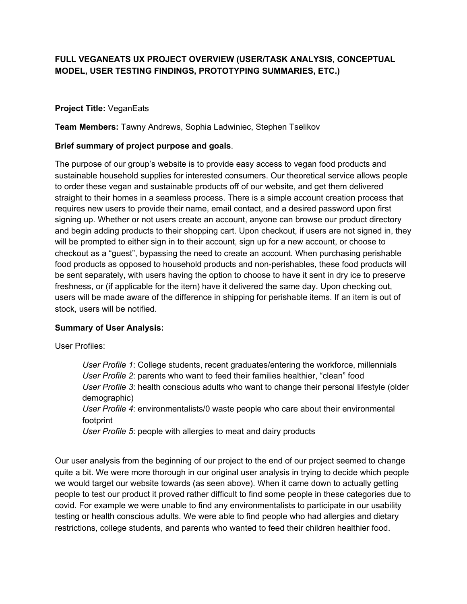## **FULL VEGANEATS UX PROJECT OVERVIEW (USER/TASK ANALYSIS, CONCEPTUAL MODEL, USER TESTING FINDINGS, PROTOTYPING SUMMARIES, ETC.)**

## **Project Title:** VeganEats

**Team Members:** Tawny Andrews, Sophia Ladwiniec, Stephen Tselikov

## **Brief summary of project purpose and goals**.

The purpose of our group's website is to provide easy access to vegan food products and sustainable household supplies for interested consumers. Our theoretical service allows people to order these vegan and sustainable products off of our website, and get them delivered straight to their homes in a seamless process. There is a simple account creation process that requires new users to provide their name, email contact, and a desired password upon first signing up. Whether or not users create an account, anyone can browse our product directory and begin adding products to their shopping cart. Upon checkout, if users are not signed in, they will be prompted to either sign in to their account, sign up for a new account, or choose to checkout as a "guest", bypassing the need to create an account. When purchasing perishable food products as opposed to household products and non-perishables, these food products will be sent separately, with users having the option to choose to have it sent in dry ice to preserve freshness, or (if applicable for the item) have it delivered the same day. Upon checking out, users will be made aware of the difference in shipping for perishable items. If an item is out of stock, users will be notified.

## **Summary of User Analysis:**

User Profiles:

*User Profile 1*: College students, recent graduates/entering the workforce, millennials *User Profile 2*: parents who want to feed their families healthier, "clean" food *User Profile 3*: health conscious adults who want to change their personal lifestyle (older demographic) *User Profile 4*: environmentalists/0 waste people who care about their environmental footprint

*User Profile 5*: people with allergies to meat and dairy products

Our user analysis from the beginning of our project to the end of our project seemed to change quite a bit. We were more thorough in our original user analysis in trying to decide which people we would target our website towards (as seen above). When it came down to actually getting people to test our product it proved rather difficult to find some people in these categories due to covid. For example we were unable to find any environmentalists to participate in our usability testing or health conscious adults. We were able to find people who had allergies and dietary restrictions, college students, and parents who wanted to feed their children healthier food.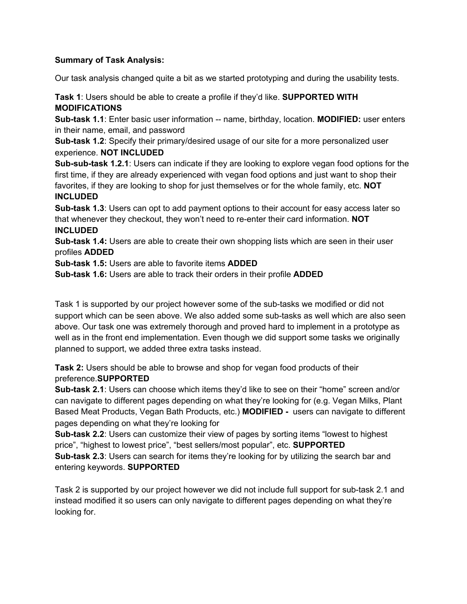## **Summary of Task Analysis:**

Our task analysis changed quite a bit as we started prototyping and during the usability tests.

**Task 1**: Users should be able to create a profile if they'd like. **SUPPORTED WITH MODIFICATIONS**

**Sub-task 1.1**: Enter basic user information -- name, birthday, location. **MODIFIED:** user enters in their name, email, and password

**Sub-task 1.2**: Specify their primary/desired usage of our site for a more personalized user experience. **NOT INCLUDED**

**Sub-sub-task 1.2.1**: Users can indicate if they are looking to explore vegan food options for the first time, if they are already experienced with vegan food options and just want to shop their favorites, if they are looking to shop for just themselves or for the whole family, etc. **NOT INCLUDED**

**Sub-task 1.3**: Users can opt to add payment options to their account for easy access later so that whenever they checkout, they won't need to re-enter their card information. **NOT INCLUDED**

**Sub-task 1.4:** Users are able to create their own shopping lists which are seen in their user profiles **ADDED**

**Sub-task 1.5:** Users are able to favorite items **ADDED**

**Sub-task 1.6:** Users are able to track their orders in their profile **ADDED**

Task 1 is supported by our project however some of the sub-tasks we modified or did not support which can be seen above. We also added some sub-tasks as well which are also seen above. Our task one was extremely thorough and proved hard to implement in a prototype as well as in the front end implementation. Even though we did support some tasks we originally planned to support, we added three extra tasks instead.

**Task 2:** Users should be able to browse and shop for vegan food products of their preference.**SUPPORTED**

**Sub-task 2.1**: Users can choose which items they'd like to see on their "home" screen and/or can navigate to different pages depending on what they're looking for (e.g. Vegan Milks, Plant Based Meat Products, Vegan Bath Products, etc.) **MODIFIED -** users can navigate to different pages depending on what they're looking for

**Sub-task 2.2**: Users can customize their view of pages by sorting items "lowest to highest price", "highest to lowest price", "best sellers/most popular", etc. **SUPPORTED Sub-task 2.3**: Users can search for items they're looking for by utilizing the search bar and entering keywords. **SUPPORTED**

Task 2 is supported by our project however we did not include full support for sub-task 2.1 and instead modified it so users can only navigate to different pages depending on what they're looking for.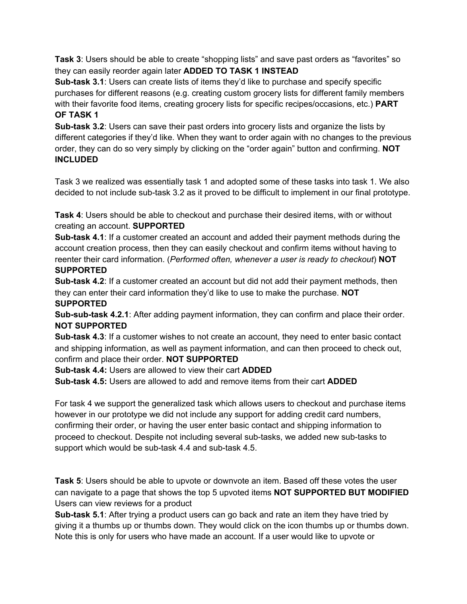**Task 3**: Users should be able to create "shopping lists" and save past orders as "favorites" so they can easily reorder again later **ADDED TO TASK 1 INSTEAD**

**Sub-task 3.1**: Users can create lists of items they'd like to purchase and specify specific purchases for different reasons (e.g. creating custom grocery lists for different family members with their favorite food items, creating grocery lists for specific recipes/occasions, etc.) **PART OF TASK 1**

**Sub-task 3.2**: Users can save their past orders into grocery lists and organize the lists by different categories if they'd like. When they want to order again with no changes to the previous order, they can do so very simply by clicking on the "order again" button and confirming. **NOT INCLUDED**

Task 3 we realized was essentially task 1 and adopted some of these tasks into task 1. We also decided to not include sub-task 3.2 as it proved to be difficult to implement in our final prototype.

**Task 4**: Users should be able to checkout and purchase their desired items, with or without creating an account. **SUPPORTED**

**Sub-task 4.1**: If a customer created an account and added their payment methods during the account creation process, then they can easily checkout and confirm items without having to reenter their card information. (*Performed often, whenever a user is ready to checkout*) **NOT SUPPORTED**

**Sub-task 4.2**: If a customer created an account but did not add their payment methods, then they can enter their card information they'd like to use to make the purchase. **NOT SUPPORTED**

**Sub-sub-task 4.2.1**: After adding payment information, they can confirm and place their order. **NOT SUPPORTED**

**Sub-task 4.3**: If a customer wishes to not create an account, they need to enter basic contact and shipping information, as well as payment information, and can then proceed to check out, confirm and place their order. **NOT SUPPORTED**

**Sub-task 4.4:** Users are allowed to view their cart **ADDED**

**Sub-task 4.5:** Users are allowed to add and remove items from their cart **ADDED**

For task 4 we support the generalized task which allows users to checkout and purchase items however in our prototype we did not include any support for adding credit card numbers, confirming their order, or having the user enter basic contact and shipping information to proceed to checkout. Despite not including several sub-tasks, we added new sub-tasks to support which would be sub-task 4.4 and sub-task 4.5.

**Task 5**: Users should be able to upvote or downvote an item. Based off these votes the user can navigate to a page that shows the top 5 upvoted items **NOT SUPPORTED BUT MODIFIED** Users can view reviews for a product

**Sub-task 5.1**: After trying a product users can go back and rate an item they have tried by giving it a thumbs up or thumbs down. They would click on the icon thumbs up or thumbs down. Note this is only for users who have made an account. If a user would like to upvote or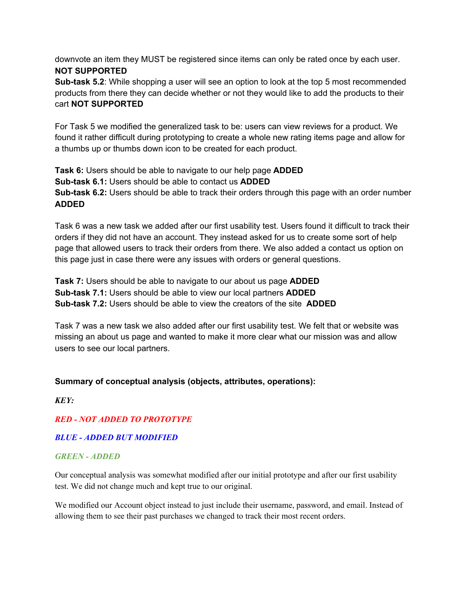downvote an item they MUST be registered since items can only be rated once by each user. **NOT SUPPORTED**

**Sub-task 5.2**: While shopping a user will see an option to look at the top 5 most recommended products from there they can decide whether or not they would like to add the products to their cart **NOT SUPPORTED**

For Task 5 we modified the generalized task to be: users can view reviews for a product. We found it rather difficult during prototyping to create a whole new rating items page and allow for a thumbs up or thumbs down icon to be created for each product.

**Task 6:** Users should be able to navigate to our help page **ADDED Sub-task 6.1:** Users should be able to contact us **ADDED Sub-task 6.2:** Users should be able to track their orders through this page with an order number **ADDED**

Task 6 was a new task we added after our first usability test. Users found it difficult to track their orders if they did not have an account. They instead asked for us to create some sort of help page that allowed users to track their orders from there. We also added a contact us option on this page just in case there were any issues with orders or general questions.

**Task 7:** Users should be able to navigate to our about us page **ADDED Sub-task 7.1:** Users should be able to view our local partners **ADDED Sub-task 7.2:** Users should be able to view the creators of the site **ADDED**

Task 7 was a new task we also added after our first usability test. We felt that or website was missing an about us page and wanted to make it more clear what our mission was and allow users to see our local partners.

## **Summary of conceptual analysis (objects, attributes, operations):**

*KEY:*

*RED - NOT ADDED TO PROTOTYPE*

*BLUE - ADDED BUT MODIFIED*

## *GREEN - ADDED*

Our conceptual analysis was somewhat modified after our initial prototype and after our first usability test. We did not change much and kept true to our original.

We modified our Account object instead to just include their username, password, and email. Instead of allowing them to see their past purchases we changed to track their most recent orders.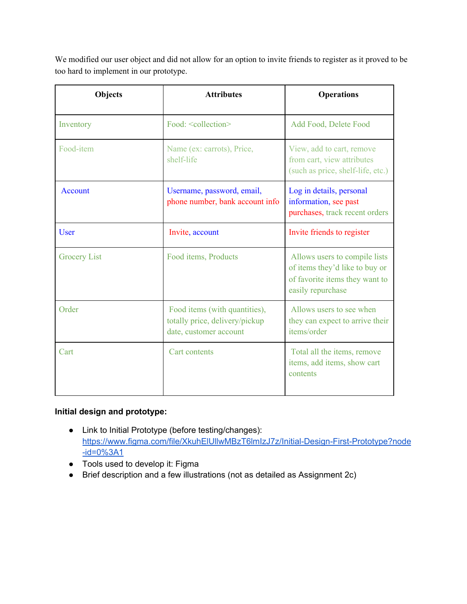We modified our user object and did not allow for an option to invite friends to register as it proved to be too hard to implement in our prototype.

| <b>Objects</b>      | <b>Attributes</b>                                                                         | <b>Operations</b>                                                                                                      |  |
|---------------------|-------------------------------------------------------------------------------------------|------------------------------------------------------------------------------------------------------------------------|--|
| Inventory           | Food: <collection></collection>                                                           | Add Food, Delete Food                                                                                                  |  |
| Food-item           | Name (ex: carrots), Price,<br>shelf-life                                                  | View, add to cart, remove<br>from cart, view attributes<br>(such as price, shelf-life, etc.)                           |  |
| <b>Account</b>      | Username, password, email,<br>phone number, bank account info                             | Log in details, personal<br>information, see past<br>purchases, track recent orders                                    |  |
| <b>User</b>         | Invite, account                                                                           | Invite friends to register                                                                                             |  |
| <b>Grocery List</b> | Food items, Products                                                                      | Allows users to compile lists<br>of items they'd like to buy or<br>of favorite items they want to<br>easily repurchase |  |
| Order               | Food items (with quantities),<br>totally price, delivery/pickup<br>date, customer account | Allows users to see when<br>they can expect to arrive their<br>items/order                                             |  |
| Cart                | <b>Cart</b> contents                                                                      | Total all the items, remove<br>items, add items, show cart<br>contents                                                 |  |

# **Initial design and prototype:**

- Link to Initial Prototype (before testing/changes): [https://www.figma.com/file/XkuhElUllwMBzT6lmIzJ7z/Initial-Design-First-Prototype?node](https://www.figma.com/file/XkuhElUllwMBzT6lmIzJ7z/Initial-Design-First-Prototype?node-id=0%3A1)  $-id = 0%3A1$
- Tools used to develop it: Figma
- Brief description and a few illustrations (not as detailed as Assignment 2c)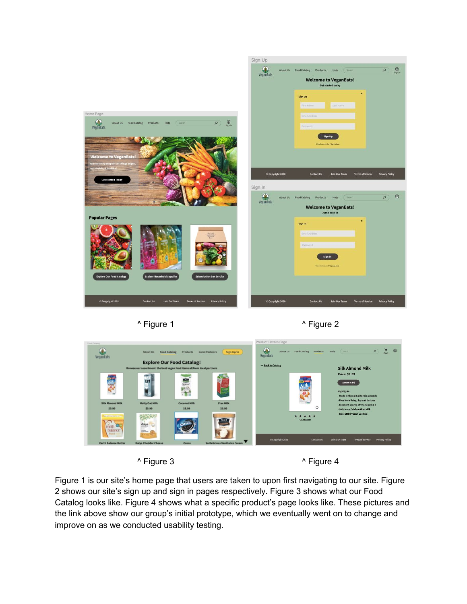







Figure 1 is our site's home page that users are taken to upon first navigating to our site. Figure 2 shows our site's sign up and sign in pages respectively. Figure 3 shows what our Food Catalog looks like. Figure 4 shows what a specific product's page looks like. These pictures and the link above show our group's initial prototype, which we eventually went on to change and improve on as we conducted usability testing.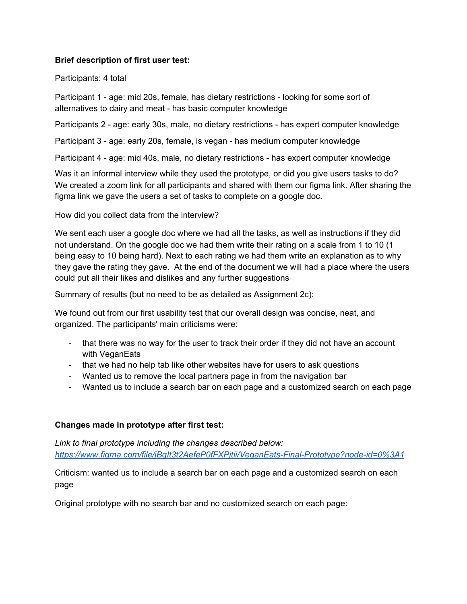### **Brief description of first user test:**

#### Participants: 4 total

Participant 1 - age: mid 20s, female, has dietary restrictions - looking for some sort of alternatives to dairy and meat - has basic computer knowledge

Participants 2 - age: early 30s, male, no dietary restrictions - has expert computer knowledge

Participant 3 - age: early 20s, female, is vegan - has medium computer knowledge

Participant 4 - age: mid 40s, male, no dietary restrictions - has expert computer knowledge

Was it an informal interview while they used the prototype, or did you give users tasks to do? We created a zoom link for all participants and shared with them our figma link. After sharing the figma link we gave the users a set of tasks to complete on a google doc.

How did you collect data from the interview?

We sent each user a google doc where we had all the tasks, as well as instructions if they did not understand. On the google doc we had them write their rating on a scale from 1 to 10 (1 being easy to 10 being hard). Next to each rating we had them write an explanation as to why they gave the rating they gave. At the end of the document we will had a place where the users could put all their likes and dislikes and any further suggestions

Summary of results (but no need to be as detailed as Assignment 2c):

We found out from our first usability test that our overall design was concise, neat, and organized. The participants' main criticisms were:

- that there was no way for the user to track their order if they did not have an account with VeganEats
- that we had no help tab like other websites have for users to ask questions
- Wanted us to remove the local partners page in from the navigation bar
- Wanted us to include a search bar on each page and a customized search on each page

### **Changes made in prototype after first test:**

*Link to final prototype including the changes described below: <https://www.figma.com/file/jBgIt3t2AefeP0fFXPjtii/VeganEats-Final-Prototype?node-id=0%3A1>*

Criticism: wanted us to include a search bar on each page and a customized search on each page

Original prototype with no search bar and no customized search on each page: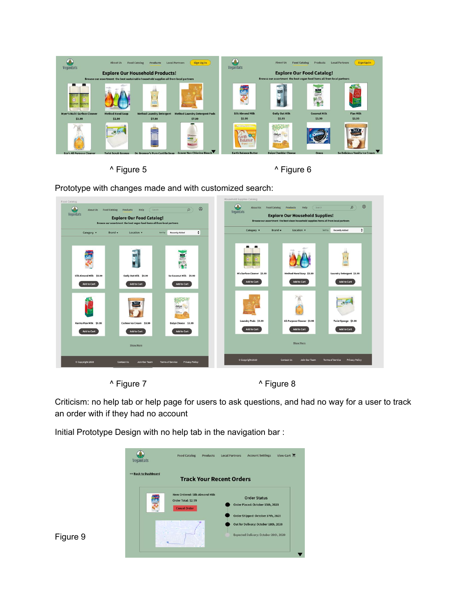

^ Figure 5  $\overline{)}$  Figure 6

Prototype with changes made and with customized search:



^ Figure 7  $\overline{ }$   $\overline{ }$  Figure 8

Criticism: no help tab or help page for users to ask questions, and had no way for a user to track an order with if they had no account

Initial Prototype Design with no help tab in the navigation bar :



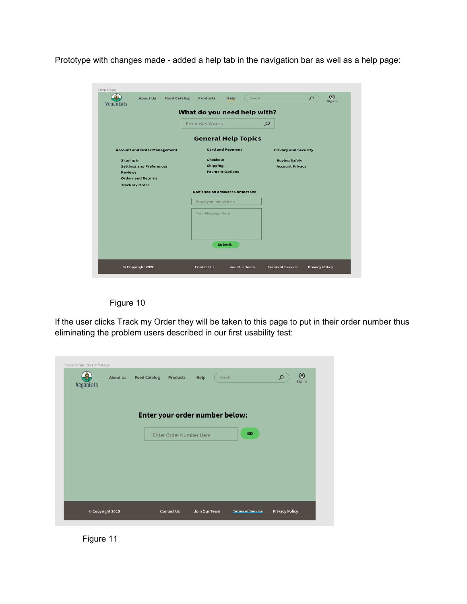Prototype with changes made - added a help tab in the navigation bar as well as a help page:

| Help Page<br><b>Food Catalog</b><br><b>About Us</b>                                          | <b>Products</b><br>Help                               | $^{\circledR}$<br>Search<br>$\alpha$<br>Sign In  |
|----------------------------------------------------------------------------------------------|-------------------------------------------------------|--------------------------------------------------|
| <b>Vegantats</b>                                                                             | What do you need help with?                           |                                                  |
|                                                                                              | <b>Enter Key Words</b>                                | $\mathcal{Q}$                                    |
|                                                                                              | <b>General Help Topics</b>                            |                                                  |
| <b>Account and Order Management</b>                                                          | <b>Card and Payment</b>                               | <b>Privacy and Security</b>                      |
| Signing in<br><b>Settings and Preferences</b><br><b>Reviews</b><br><b>Orders and Returns</b> | Checkout<br><b>Shipping</b><br><b>Payment Options</b> | <b>Buying Safely</b><br><b>Account Privacy</b>   |
| <b>Track My Order</b>                                                                        | Don't see an answer? Contact Us:                      |                                                  |
|                                                                                              | Enter your email here                                 |                                                  |
|                                                                                              | Your Message Here                                     |                                                  |
|                                                                                              | <b>Submit</b>                                         |                                                  |
| © Copyright 2020                                                                             | <b>Contact Us</b><br>Join Our Team                    | <b>Terms of Service</b><br><b>Privacy Policy</b> |



If the user clicks Track my Order they will be taken to this page to put in their order number thus eliminating the problem users described in our first usability test:

| Track Order Click Off Page<br><b>VeganEats</b> | <b>About Us</b> | <b>Food Catalog</b> | Products                | Help          | Search                               | $\circledcirc$<br>$\mathsf{Q}% _{T}=\mathsf{Q}_{T}\!\left( a,b\right) ,\mathsf{Q}$<br>Sign In |
|------------------------------------------------|-----------------|---------------------|-------------------------|---------------|--------------------------------------|-----------------------------------------------------------------------------------------------|
|                                                |                 |                     | Enter Order Number Here |               | Enter your order number below:<br>GO |                                                                                               |
|                                                |                 |                     |                         |               |                                      |                                                                                               |
|                                                |                 |                     |                         |               |                                      |                                                                                               |
| © Copyright 2020                               |                 |                     | <b>Contact Us</b>       | Join Our Team | <b>Terms of Service</b>              | <b>Privacy Policy</b>                                                                         |

Figure 11